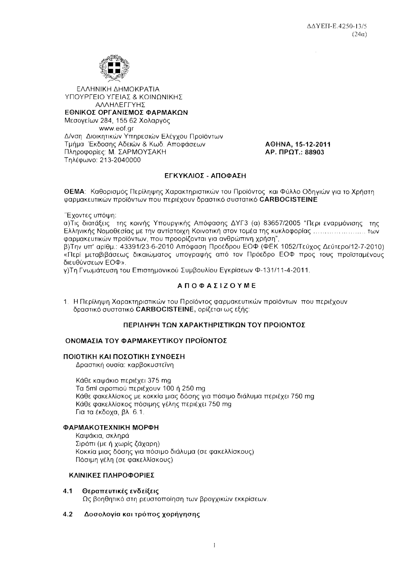

ΕΛΛΗΝΙΚΗ ΔΗΜΟΚΡΑΤΙΑ ΥΠΟΥΡΓΕΙΟ ΥΓΕΙΑΣ & ΚΟΙΝΩΝΙΚΗΣ ΑΛΛΗΛΕΓΓΥΗΣ ΕΘΝΙΚΟΣ ΟΡΓΑΝΙΣΜΟΣ ΦΑΡΜΑΚΩΝ Μεσονείων 284, 155 62 Χολαργός www.eof.gr Δ/νση Διοικητικών Υπηρεσιών Ελέγχου Προϊόντων Τμήμα Έκδοσης Αδειών & Κωδ. Αποφάσεων Πληροφορίες: Μ. ΣΑΡΜΟΥΣΑΚΗ Τηλέφωνο: 213-2040000

AOHNA, 15-12-2011 AP. **NPOT.: 88903** 

# ΕΓΚΥΚΛΙΟΣ - ΑΠΟΦΑΣΗ

**ΘΕΜΑ:** Καθορισμός Περίληψης Χαρακτηριστικών του Προϊόντος και Φύλλο Οδηγιών για το Χρήστη φαρμακευτικών προϊόντων που περιέχουν δραστικό συστατικό CARBOCISTEINE

Έχοντες υπόψη:

α)Τις διατάξεις της κοινής Υπουργικής Απόφασης ΔΥΓ3 (α) 83657/2005 "Περι εναρμόνισης της φαρμακευτικών προϊόντων, που προορίζονται για ανθρώπινη χρήση".

β)Την υπ' αρίθμ.: 43391/23-6-2010 Απόφαση Προέδρου ΕΟΦ (ΦΕΚ 1052/Τεύχος Δεύτερο/12-7-2010) «Περί μεταβιβάσεως δικαιώματος υπογραφής από τον Πρόεδρο ΕΟΦ προς τους προϊσταμένους διευθύνσεων ΕΟΦ».

γ) Τη Γνωμάτευση του Επιστημονικού Συμβουλίου Εγκρίσεων Φ-131/11-4-2011.

# **ΑΠΟΦΑΣΙΖΟΥΜΕ**

1. Η Περίληψη Χαρακτηριστικών του Προϊόντος φαρμακευτικών προϊόντων που περιέχουν δραστικό συστατικό CARBOCISTEINE, ορίζεται ως εξής:

# ΠΕΡΙΛΗΨΗ ΤΩΝ ΧΑΡΑΚΤΗΡΙΣΤΙΚΩΝ ΤΟΥ ΠΡΟΙΟΝΤΟΣ

# ΟΝΟΜΑΣΙΑ ΤΟΥ ΦΑΡΜΑΚΕΥΤΙΚΟΥ ΠΡΟΪΟΝΤΟΣ

## ΠΟΙΟΤΙΚΗ ΚΑΙ ΠΟΣΟΤΙΚΗ ΣΥΝΘΕΣΗ

Δραστική ουσία: καρβοκυστεΐνη

Κάθε καψάκιο περιέχει 375 mg Τα 5ml σιροπιού περιέχουν 100 ή 250 mg Κάθε φακελλίσκος με κοκκία μιας δόσης για πόσιμο διάλυμα περιέχει 750 mq Κάθε φακελλίσκος πόσιμης γέλης περιέχει 750 mg Για τα έκδοχα, βλ. 6.1.

## ΦΑΡΜΑΚΟΤΕΧΝΙΚΗ ΜΟΡΦΗ

Καψάκια, σκληρά Σιρόπι (με ή χωρίς ζάχαρη) Κοκκία μιας δόσης για πόσιμο διάλυμα (σε φακελλίσκους) Πόσιμη γέλη (σε φακελλίσκους)

# ΚΛΙΝΙΚΕΣ ΠΛΗΡΟΦΟΡΙΕΣ

 $4.1$ Θεραπευτικές ενδείξεις Ως βοηθητικό στη ρευστοποίηση των βρογχικών εκκρίσεων.

### Δοσολογία και τρόπος χορήγησης  $4.2$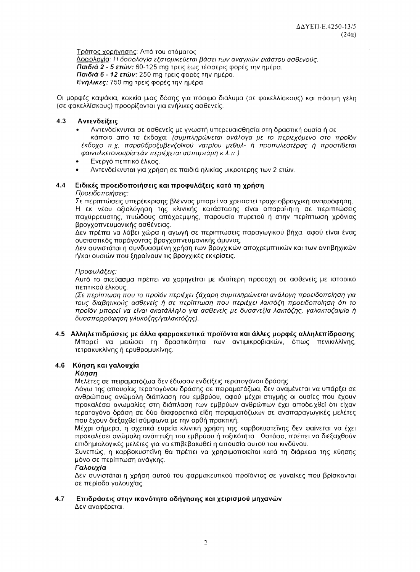Τρόπος χορήγησης: Από του στόματος Δοσολογία: Η δοσολογία εξατομικεύεται βάσει των αναγκών εκάστου ασθενούς. Παιδιά 2 - 5 ετών: 60-125 mg τρεις έως τέσσερις φορές την ημέρα. Παιδιά 6 - 12 ετών: 250 mg τρεις φορές την ημέρα. Ενήλικες: 750 mg τρεις φορές την ημέρα.

Οι μορφές καψάκια, κοκκία μιας δόσης για πόσιμο διάλυμα (σε φακελλίσκους) και πόσιμη γέλη (σε φακελλίσκους) προορίζονται για ενήλικες ασθενείς.

### $4.3$ Αντενδείξεις

- Αντενδείκνυται σε ασθενείς με γνωστή υπερευαισθησία στη δραστική ουσία ή σε κάποιο από τα έκδοχα: (συμπληρώνεται ανάλογα με το περιεχόμενο στο προϊόν έκδοχο π.χ. παραϋδροξυβενζοϊκού νατρίου μεθυλ- ή προπυλεστέρας ή προστίθεται φαινυλκετονουρία-εάν περιέχεται ασπαρτάμη κ.λ.π.)
- Ενεργό πεπτικό έλκος.
- Αντενδείκνυται για χρήση σε παιδιά ηλικίας μικρότερης των 2 ετών.

### 4.4 Ειδικές προειδοποιήσεις και προφυλάξεις κατά τη χρήση

# Προειδοποιήσεις:

Σε περιπτώσεις υπερέκκρισης βλέννας μπορεί να χρειαστεί τραχειοβρογχική αναρρόφηση. Η εκ νέου αξιολόγηση της κλινικής κατάστασης είναι απαραίτητη σε περιπτώσεις παχύρρευστης, πυώδους απόχρεμψης, παρουσία πυρετού ή στην περίπτωση χρόνιας βρογχοπνευμονικής ασθένειας.

Δεν πρέπει να λάβει χώρα η αγωγή σε περιπτώσεις παραγωγικού βήχα, αφού είναι ένας ουσιαστικός παράγοντας βρογχοπνευμονικής άμυνας.

Δεν συνιστάται η συνδυασμένη χρήση των βρογχικών αποχρεμπτικών και των αντιβηχικών ή/και ουσιών που ξηραίνουν τις βρογχικές εκκρίσεις.

## Προφυλάξεις:

Αυτό το σκεύασμα πρέπει να χορηγείται με ιδιαίτερη προσοχη σε ασθενείς με ιστορικό πεπτικού έλκους.

(Σε περίπτωση που το προϊόν περιέχει ζάχαρη συμπληρώνεται ανάλογη προειδοποίηση για τους διαβητικούς ασθενείς ή σε περίπτωση που περιέχει λακτόζη προειδοποίηση ότι το προϊόν μπορεί να είναι ακατάλληλο για ασθενείς με δυσανεξία λακτόζης, γαλακτοζαιμία ή δυσαπορρόφηση γλυκόζης/γαλακτόζης).

4.5 Αλληλεπιδράσεις με άλλα φαρμακευτικά προϊόντα και άλλες μορφές αλληλεπίδρασης Μπορεί να μειώσει τη δραστικότητα των αντιμικροβιακών, όπως πενικιλλίνης, τετρακυκλίνης ή ερυθρομυκίνης.

### $4.6$ Κύηση και γαλουχία

## Kúnan

Μελέτες σε πειραματόζωα δεν έδωσαν ενδείξεις τερατογόνου δράσης.

Λόγω της απουσίας τερατογόνου δράσης σε πειραματόζωα, δεν αναμένεται να υπάρξει σε ανθρώπους ανώμαλη διάπλαση του εμβρύου, αφού μέχρι στιγμής οι ουσίες που έχουν προκαλέσει ανωμαλίες στη διάπλαση των εμβρύων ανθρώπων έχει αποδειχθεί ότι είχαν τερατογόνο δράση σε δύο διαφορετικά είδη πειραματόζωων σε αναπαραγωγικές μελέτες που έχουν διεξαχθεί σύμφωνα με την ορθή πρακτική.

Μέχρι σήμερα, η σχετικά ευρεία κλινική χρήση της καρβοκυστεΐνης δεν φαίνεται να έχει προκαλέσει ανώμαλη ανάπτυξη του εμβρύου ή τοξικότητα. Ωστόσο, πρέπει να διεξαχθούν επιδημιολογικές μελέτες για να επιβεβαιωθεί η απουσία αυτού του κινδύνου.

Συνεπώς, η καρβοκυστεΐνη θα πρέπει να χρησιμοποιείται κατά τη διάρκεια της κύησης μόνο σε περίπτωση ανάγκης.

## Γαλουνία

Δεν συνιστάται η χρήση αυτού του φαρμακευτικού προϊόντος σε γυναίκες που βρίσκονται σε περίοδο γαλουχίας.

### 4.7 Επιδράσεις στην ικανότητα οδήγησης και χειρισμού μηχανών

Δεν αναφέρεται.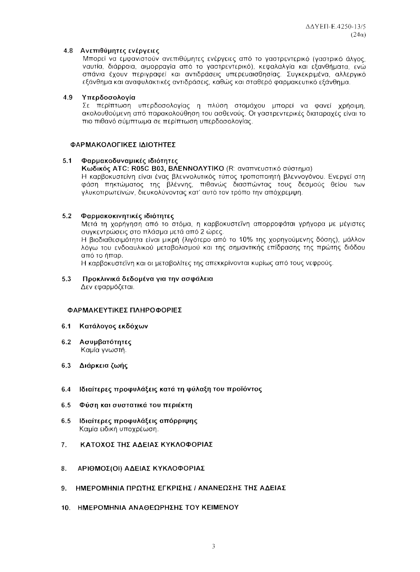## 4.8 Ανεπιθύμητες ενέργειες

Μπορεί να εμφανιστούν ανεπιθύμητες ενέργειες από το γαστρεντερικό (γαστρικό άλγος, ναυτία, διάρροια, αιμορραγία από το γαστρεντερικό), κεφαλαλγία και εξανθήματα, ενώ σπάνια έχουν περινραφεί και αντιδράσεις υπερευαισθησίας. Συνκεκριμένα, αλλερνικό εξάνθημα και αναφυλακτικές αντιδράσεις, καθώς και σταθερό φαρμακευτικό εξάνθημα.

#### $4.9$ Υπερδοσολογία

Σε περίπτωση υπερδοσολογίας η πλύση στομάχου μπορεί να φανεί χρήσιμη, ακολουθούμενη από παρακολούθηση του ασθενούς. Οι γαστρεντερικές διαταραχές είναι το πιο πιθανό σύμπτωμα σε περίπτωση υπερδοσολογίας.

## ΦΑΡΜΑΚΟΛΟΓΙΚΕΣ ΙΔΙΟΤΗΤΕΣ

### $5.1$ Φαρμακοδυναμικές ιδιότητες

## Κωδικός ATC: R05C B03, ΒΛΕΝΝΟΛΥΤΙΚΟ (R: αναπνευστικό σύστημα)

Η καρβοκυστείνη είναι ένας βλεννολυτικός τύπος τροποποιητή βλεννογόνου. Ενεργεί στη φάση πηκτώματος της βλέννης, πιθανώς διασπώντας τους δεσμούς θείου των γλυκοπρωτεϊνών, διευκολύνοντας κατ' αυτό τον τρόπο την απόχρεμψη.

### $5.2$ Φαρμακοκινητικές ιδιότητες

Μετά τη χορήγηση από το στόμα, η καρβοκυστεΐνη απορροφάται γρήγορα με μέγιστες συγκεντρώσεις στο πλάσμα μετά από 2 ώρες.

Η Βιοδιαθεσιμότητα είναι μικρή (λιγότερο από το 10% της χορηγούμενης δόσης), μάλλον λόγω του ενδοαυλικού μεταβολισμού και της σημαντικής επίδρασης της πρώτης διόδου από το ήπαρ.

Η καρβοκυστεΐνη και οι μεταβολίτες της απεκκρίνονται κυρίως από τους νεφρούς.

### $5.3$ Προκλινικά δεδομένα για την ασφάλεια Δεν εφαρμόζεται.

## ΦΑΡΜΑΚΕΥΤΙΚΕΣ ΠΛΗΡΟΦΟΡΙΕΣ

- 6.1 Κατάλογος εκδόχων
- 6.2 Ασυμβατότητες Καμία γνωστή.
- 6.3 Διάρκεια ζωής
- $6.4$ Ιδιαίτερες προφυλάξεις κατά τη φύλαξη του προϊόντος
- $6.5$ Φύση και συστατικά του περιέκτη
- $6.5$ Ιδιαίτερες προφυλάξεις απόρριψης Καμία ειδική υποχρέωση.
- $7.$ ΚΑΤΟΧΟΣ ΤΗΣ ΑΔΕΙΑΣ ΚΥΚΛΟΦΟΡΙΑΣ
- 8. ΑΡΙΘΜΟΣ(ΟΙ) ΑΔΕΙΑΣ ΚΥΚΛΟΦΟΡΙΑΣ
- 9. ΗΜΕΡΟΜΗΝΙΑ ΠΡΩΤΗΣ ΕΓΚΡΙΣΗΣ / ΑΝΑΝΕΩΣΗΣ ΤΗΣ ΑΔΕΙΑΣ
- 10. ΗΜΕΡΟΜΗΝΙΑ ΑΝΑΘΕΩΡΗΣΗΣ ΤΟΥ ΚΕΙΜΕΝΟΥ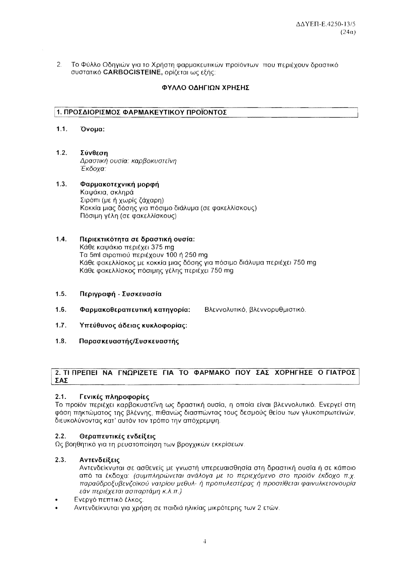$2<sup>1</sup>$ Το Φύλλο Οδηγιών για το Χρήστη φαρμακευτικών προϊόντων που περιέχουν δραστικό συστατικό CARBOCISTEINE, ορίζεται ως εξής:

# ΦΥΛΛΟ ΟΔΗΓΙΩΝ ΧΡΗΣΗΣ

# 1. ΠΡΟΣΔΙΟΡΙΣΜΟΣ ΦΑΡΜΑΚΕΥΤΙΚΟΥ ΠΡΟΪΟΝΤΟΣ

- $1.1.$ Όνομα:
- $1.2.$ Σύνθεση Δραστική ουσία: καρβοκυστεΐνη Έκδοχα:

### $1.3.$ Φαρμακοτεχνική μορφή Καψάκια, σκληρά Σιρόπι (με ή χωρίς ζάχαρη) Κοκκία μιας δόσης για πόσιμο διάλυμα (σε φακελλίσκους) Πόσιμη νέλη (σε φακελλίσκους)

### $1.4.$ Περιεκτικότητα σε δραστική ουσία: Κάθε καψάκιο περιέχει 375 mg Τα 5ml σιροπιού περιέχουν 100 ή 250 mg Κάθε φακελλίσκος με κοκκία μιας δόσης για πόσιμο διάλυμα περιέχει 750 mg Κάθε φακελλίσκος πόσιμης γέλης περιέχει 750 mg

- $1.5.$ Περιγραφή - Συσκευασία
- $1.6.$ Φαρμακοθεραπευτική κατηγορία: Βλεννολυτικό, βλεννορυθμιστικό,
- $1.7.$ Υπεύθυνος άδειας κυκλοφορίας:
- $1.8.$ Παρασκευαστής/Συσκευαστής

# 2. ΤΙ ΠΡΕΠΕΙ ΝΑ ΓΝΩΡΙΖΕΤΕ ΓΙΑ ΤΟ ΦΑΡΜΑΚΟ ΠΟΥ ΣΑΣ ΧΟΡΗΓΗΣΕ Ο ΓΙΑΤΡΟΣ ΣΑΣ

### $2.1.$ Γενικές πληροφορίες

Το προϊόν περιέχει καρβοκυστεΐνη ως δραστική ουσία, η οποία είναι βλεννολυτικό. Ενεργεί στη φάση πηκτώματος της βλέννης, πιθανώς διασπώντας τους δεσμούς θείου των γλυκοπρωτεϊνών, διευκολύνοντας κατ' αυτόν τον τρόπο την απόχρεμψη.

### $2.2.$ Θεραπευτικές ενδείξεις

Ως βοηθητικό για τη ρευστοποίηση των βρογχικών εκκρίσεων.

### $2.3.$ Αντενδείξεις

Αντενδείκνυται σε ασθενείς με γνωστή υπερευαισθησία στη δραστική ουσία ή σε κάποιο από τα έκδοχα: (συμπληρώνεται ανάλογα με το περιεχόμενο στο προϊόν έκδοχο π.χ. παραϋδροξυβενζοϊκού νατρίου μεθυλ- ή προπυλεστέρας ή προστίθεται φαινυλκετονουρία εάν περιέχεται ασπαρτάμη κ.λ.π.)

- Ενεργό πεπτικό έλκος.
- Αντενδείκνυται για χρήση σε παιδιά ηλικίας μικρότερης των 2 ετών.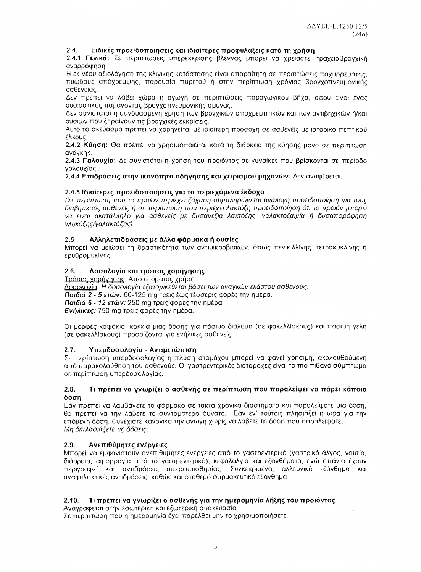$\mathcal{L}$ 

### $2.4$ Ειδικές προειδοποιήσεις και ιδιαίτερες προφυλάξεις κατά τη χρήση

2.4.1 Γενικά: Σε περιπτώσεις υπερέκκρισης βλέννας μπορεί να χρειαστεί τραχειοβρογχική αναρρόφηση.

Η εκ νέου αξιολόγηση της κλινικής κατάστασης είναι απαραίτητη σε περιπτώσεις παχύρρευστης, πυώδους απόχρεμψης, παρουσία πυρετού ή στην περίπτωση χρόνιας βρογχοπνευμονικής ασθένειας.

Δεν πρέπει να λάβει χώρα η αγωγή σε περιπτώσεις παραγωγικού βήχα, αφού είναι ένας ουσιαστικός παράγοντας βρογχοπνευμονικής άμυνας.

Δεν συνιστάται η συνδυασμένη χρήση των βρογχικών αποχρεμπτικών και των αντιβηχικών ή/και ουσιών που ξηραίνουν τις βρογχικές εκκρίσεις.

Αυτό το σκεύασμα πρέπει να χορηγείται με ιδιαίτερη προσοχή σε ασθενείς με ιστορικό πεπτικού έλκους.

2.4.2 Κύηση: Θα πρέπει να χρησιμοποιείται κατά τη διάρκεια της κύησης μόνο σε περίπτωση ανάνκης.

2.4.3 Γαλουχία: Δε συνιστάται η χρήση του προϊόντος σε γυναίκες που βρίσκονται σε περίοδο ναλουνίας

2.4.4 Επιδράσεις στην ικανότητα οδήγησης και χειρισμού μηχανών: Δεν αναφέρεται.

# 2.4.5 Ιδιαίτερες προειδοποιήσεις για τα περιεχόμενα έκδοχα

(Σε περίπτωση που το προϊόν περιέχει ζάχαρη συμπληρώνεται ανάλογη προειδοποίηση για τους διαβητικούς ασθενείς ή σε περίπτωση που περιέχει λακτόζη προειδοποίηση ότι το προϊόν μπορεί να είναι ακατάλληλο για ασθενείς με δυσανεξία λακτόζης, γαλακτοζαιμία ή δυσαπορόφηση νλυκόζης/ναλακτόζης)

### Αλληλεπιδράσεις με άλλα φάρμακα ή ουσίες  $2.5$

Μπορεί να μειώσει τη δραστικότητα των αντιμικροβιακών, όπως πενικιλλίνης, τετρακυκλίνης ή ερυθρομυκίνης.

### $2.6.$ Δοσολογία και τρόπος χορήγησης

Τρόπος χορήγησης: Από στόματος χρήση.

Δοσολογία: Η δοσολογία εξατομικεύεται βάσει των αναγκών εκάστου ασθενούς.

Παιδιά 2 - 5 ετών: 60-125 mg τρεις έως τέσσερις φορές την ημέρα.

Παιδιά 6 - 12 ετών: 250 mg τρεις φορές την ημέρα.

Ενήλικες: 750 mg τρεις φορές την ημέρα.

Οι μορφές καψάκια, κοκκία μιας δόσης για πόσιμο διάλυμα (σε φακελλίσκους) και πόσιμη γέλη (σε φακελλίσκους) προορίζονται για ενήλικες ασθενείς.

### Υπερδοσολονία - Αντιμετώπιση  $2.7$

Σε περίπτωση υπερδοσολογίας η πλύση στομάχου μπορεί να φανεί χρήσιμη, ακολουθούμενη από παρακολούθηση του ασθενούς. Οι γαστρεντερικές διαταραχές είναι το πιο πιθανό σύμπτωμα σε περίπτωση υπερδοσολογίας.

### Τι πρέπει να γνωρίζει ο ασθενής σε περίπτωση που παραλείψει να πάρει κάποια  $2.8.$ δόση

Εάν πρέπει να λαμβάνετε το φάρμακο σε τακτά χρονικά διαστήματα και παραλείψατε μία δόση, θα πρέπει να την λάβετε το συντομότερο δυνατό. Εάν εν' τούτοις πλησιάζει η ώρα για την επόμενη δόση, συνεχίστε κανονικά την αγωγή χωρίς να λάβετε τη δόση που παραλείψατε. Μη διπλασιάζετε τις δόσεις.

### Ανεπιθύμητες ενέργειες  $2.9.$

Μπορεί να εμφανιστούν ανεπιθύμητες ενέργειες από το γαστρεντερικό (γαστρικό άλγος, ναυτία, διάρροια, αιμορραγία από το γαστρεντερικό), κεφαλαλγία και εξανθήματα, ενώ σπάνια έχουν περιγραφεί και αντιδράσεις υπερευαισθησίας. Συγκεκριμένα, αλλεργικό εξάνθημα και αναφυλακτικές αντιδράσεις, καθώς και σταθερό φαρμακευτικό εξάνθημα.

### Τι πρέπει να γνωρίζει ο ασθενής για την ημερομηνία λήξης του προϊόντος  $2.10.$

Αναγράφεται στην εσωτερική και εξωτερική συσκευασία.

Σε περίπτωση που η ημερομηνία έχει παρέλθει μην το χρησιμοποιήσετε.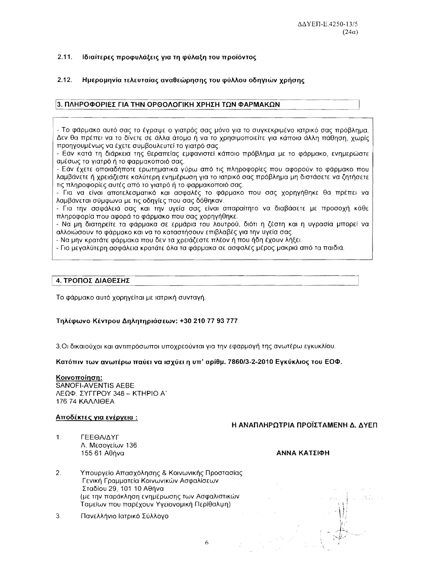### $2.11.$ Ιδιαίτερες προφυλάξεις για τη φύλαξη του προϊόντος

### $2.12<sub>1</sub>$ Ημερομηνία τελευταίας αναθεώρησης του φύλλου οδηγιών χρήσης

# 3. ΠΛΗΡΟΦΟΡΙΕΣ ΓΙΑ ΤΗΝ ΟΡΘΟΛΟΓΙΚΗ ΧΡΗΣΗ ΤΩΝ ΦΑΡΜΑΚΩΝ

- Το φάρμακο αυτό σας το ένοαψε ο νιατρός σας μόνο νια το συνκεκριμένο ιατρικό σας πρόβλημα. Δεν θα πρέπει να το δίνετε σε άλλα άτομα ή να το χρησιμοποιείτε για κάποια άλλη πάθηση, χωρίς προηγουμένως να έχετε συμβουλευτεί το γιατρό σας.

- Εάν κατά τη διάρκεια της θεραπείας εμφανιστεί κάποιο πρόβλημα με το φάρμακο, ενημερώστε αμέσως το γιατρό ή το φαρμακοποιό σας.

- Εάν έχετε οποιαδήποτε ερωτηματικά γύρω από τις πληροφορίες που αφορούν το φάρμακο που λαμβάνετε ή χρειάζεστε καλύτερη ενημέρωση για το ιατρικό σας πρόβλημα μη διστάσετε να ζητήσετε τις πληροφορίες αυτές από το γιατρό ή το φαρμακοποιό σας.

- Για να είναι αποτέλεσματικό και ασφαλές το φάρμακο που σας χορηγήθηκε θα πρέπει να λαμβάνεται σύμφωνα με τις οδηγίες που σας δόθηκαν.

- Για την ασφάλειά σας και την υγεία σας είναι απαραίτητο να διαβάσετε με προσοχή κάθε πληροφορία που αφορά το φάρμακο που σας χορηγήθηκε.

- Να μη διατηρείτε τα φάρμακα σε ερμάρια του λουτρού. διότι η ζέστη και η υγρασία μπορεί να αλλοιώσουν το φάρμακο και να το καταστήσουν επιβλαβές για την υγεία σας.

- Να μην κρατάτε φάρμακα που δεν τα χρειάζεστε πλέον ή που ήδη έχουν λήξει.

- Για μεγαλύτερη ασφάλεια κρατάτε όλα τα φάρμακα σε ασφαλές μέρος μακριά από τα παιδιά.

## 4. ΤΡΟΠΟΣ ΔΙΑΘΕΣΗΣ

Το φάρμακο αυτό χορηγείται με ιατρική συνταγή.

## Τηλέφωνο Κέντρου Δηλητηριάσεων: +30 210 77 93 777

3.Οι δικαιούχοι και αντιπρόσωποι υποχρεούνται για την εφαρμογή της ανωτέρω εγκυκλίου.

Κατόπιν των ανωτέρω παύει να ισχύει η υπ' αρίθμ. 7860/3-2-2010 Εγκύκλιος του ΕΟΦ.

6

**Κοινοποίηση:** SANOFI-AVENTIS AEBE ΛΕΩΦ. ΣΥΓΓΡΟΥ 348 - ΚΤΗΡΙΟ Α΄ **176 74 KAAAIOFA** 

## Αποδέκτες για ενέργεια:

# Η ΑΝΑΠΛΗΡΩΤΡΙΑ ΠΡΟΪΣΤΑΜΕΝΗ Δ. ΔΥΕΠ

 $1<sup>1</sup>$ ΓΕΕΘΑ/ΔΥΓ Λ. Μεσονείων 136 155 61 Αθήνα

- ΑΝΝΑ ΚΑΤΣΙΦΗ
- $2.$ Υπουργείο Απασχόλησης & Κοινωνικής Προστασίας Γενική Γραμματεία Κοινωνικών Ασφαλίσεων Σταδίου 29, 101 10 Αθήνα (με την παράκληση ενημέρωσης των Ασφαλιστικών Ταμείων που παρέχουν Υγειονομική Περίθαλψη)
- $3<sub>1</sub>$ Πανελλήνιο Ιατρικό Σύλλογο